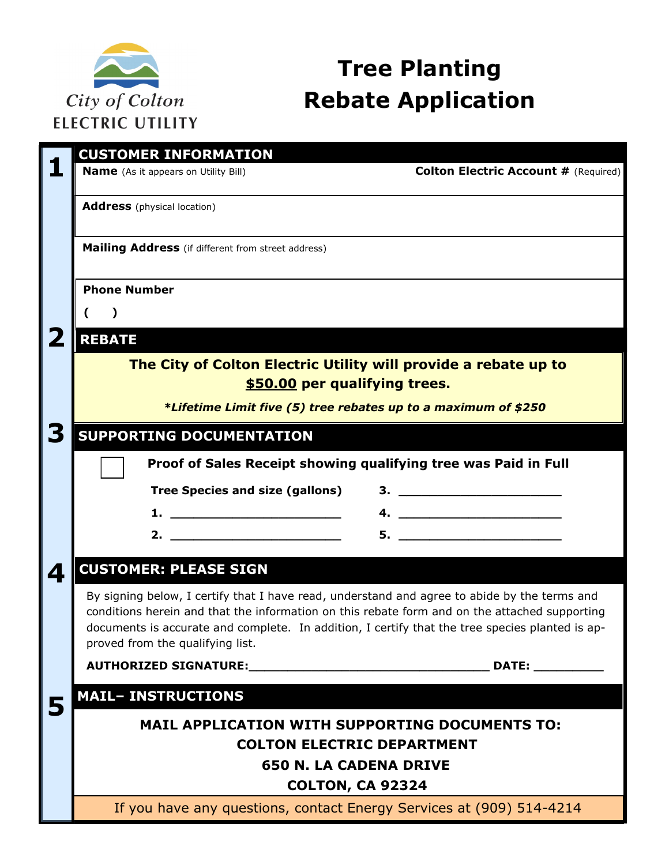

# **Tree Planting Rebate Application**

|   | <b>CUSTOMER INFORMATION</b>                                                                                                                                                                                                                                                                                                                                                    |
|---|--------------------------------------------------------------------------------------------------------------------------------------------------------------------------------------------------------------------------------------------------------------------------------------------------------------------------------------------------------------------------------|
| 1 | <b>Colton Electric Account # (Required)</b><br><b>Name</b> (As it appears on Utility Bill)                                                                                                                                                                                                                                                                                     |
|   | <b>Address</b> (physical location)                                                                                                                                                                                                                                                                                                                                             |
|   | Mailing Address (if different from street address)                                                                                                                                                                                                                                                                                                                             |
|   | <b>Phone Number</b>                                                                                                                                                                                                                                                                                                                                                            |
|   |                                                                                                                                                                                                                                                                                                                                                                                |
| 2 | <b>REBATE</b>                                                                                                                                                                                                                                                                                                                                                                  |
|   | The City of Colton Electric Utility will provide a rebate up to<br>\$50.00 per qualifying trees.                                                                                                                                                                                                                                                                               |
|   | *Lifetime Limit five (5) tree rebates up to a maximum of \$250                                                                                                                                                                                                                                                                                                                 |
| З | <b>SUPPORTING DOCUMENTATION</b>                                                                                                                                                                                                                                                                                                                                                |
|   | Proof of Sales Receipt showing qualifying tree was Paid in Full                                                                                                                                                                                                                                                                                                                |
|   | Tree Species and size (gallons)                                                                                                                                                                                                                                                                                                                                                |
|   | 4. $\overline{\phantom{a}}$<br>1. $\qquad \qquad$ $\qquad \qquad$ $\qquad$ $\qquad$ $\qquad$ $\qquad$ $\qquad$ $\qquad$ $\qquad$ $\qquad$ $\qquad$ $\qquad$ $\qquad$ $\qquad$ $\qquad$ $\qquad$ $\qquad$ $\qquad$ $\qquad$ $\qquad$ $\qquad$ $\qquad$ $\qquad$ $\qquad$ $\qquad$ $\qquad$ $\qquad$ $\qquad$ $\qquad$ $\qquad$ $\qquad$ $\qquad$ $\qquad$ $\qquad$ $\qquad$ $\$ |
|   | 2. $\qquad \qquad$                                                                                                                                                                                                                                                                                                                                                             |
| 4 | <b>CUSTOMER: PLEASE SIGN</b>                                                                                                                                                                                                                                                                                                                                                   |
|   | By signing below, I certify that I have read, understand and agree to abide by the terms and<br>conditions herein and that the information on this rebate form and on the attached supporting<br>documents is accurate and complete. In addition, I certify that the tree species planted is ap-<br>proved from the qualifying list.                                           |
|   | DATE:                                                                                                                                                                                                                                                                                                                                                                          |
| 5 | <b>MAIL- INSTRUCTIONS</b>                                                                                                                                                                                                                                                                                                                                                      |
|   | <b>MAIL APPLICATION WITH SUPPORTING DOCUMENTS TO:</b><br><b>COLTON ELECTRIC DEPARTMENT</b><br><b>650 N. LA CADENA DRIVE</b>                                                                                                                                                                                                                                                    |
|   | <b>COLTON, CA 92324</b>                                                                                                                                                                                                                                                                                                                                                        |
|   | If you have any questions, contact Energy Services at (909) 514-4214                                                                                                                                                                                                                                                                                                           |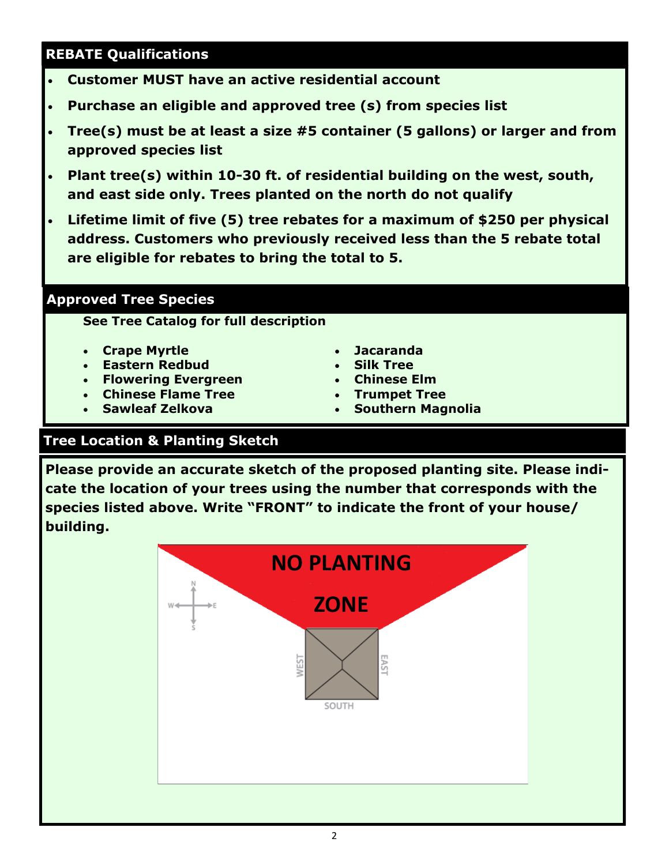## **REBATE Qualifications**

- **Customer MUST have an active residential account**
- **Purchase an eligible and approved tree (s) from species list**
- **Tree(s) must be at least a size #5 container (5 gallons) or larger and from approved species list**
- **Plant tree(s) within 10-30 ft. of residential building on the west, south, and east side only. Trees planted on the north do not qualify**
- **Lifetime limit of five (5) tree rebates for a maximum of \$250 per physical address. Customers who previously received less than the 5 rebate total are eligible for rebates to bring the total to 5.**

### **Approved Tree Species**

**See Tree Catalog for full description**

- **Crape Myrtle**
- **Eastern Redbud**
- **Flowering Evergreen**
- **Chinese Flame Tree**
- **Sawleaf Zelkova**
- **Jacaranda**
- **Silk Tree**
- **Chinese Elm**
- **Trumpet Tree**
- **Southern Magnolia**

## **Tree Location & Planting Sketch**

**Please provide an accurate sketch of the proposed planting site. Please indicate the location of your trees using the number that corresponds with the species listed above. Write "FRONT" to indicate the front of your house/ building.**